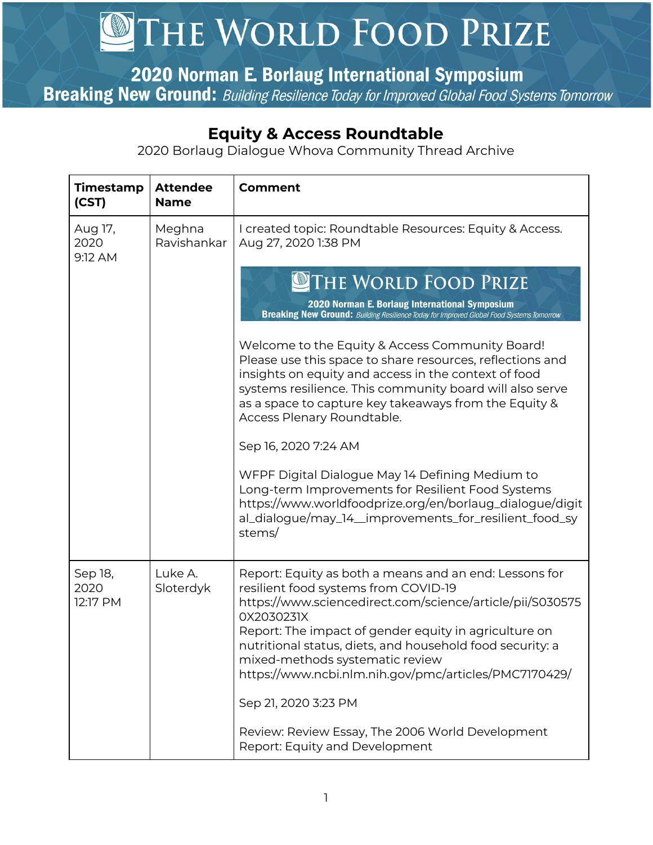## THE WORLD FOOD PRIZE

2020 Norman E. Borlaug International Symposium

**Breaking New Ground:** Building Resilience Today for Improved Global Food Systems Tomorrow

## **Equity & Access Roundtable**

2020 Borlaug Dialogue Whova Community Thread Archive

| Timestamp<br>(CST)          | <b>Attendee</b><br><b>Name</b> | <b>Comment</b>                                                                                                                                                                                                                                                                                                                                                                                                                                                                                                                                                                                                                                                                                                                                                                                                                                         |
|-----------------------------|--------------------------------|--------------------------------------------------------------------------------------------------------------------------------------------------------------------------------------------------------------------------------------------------------------------------------------------------------------------------------------------------------------------------------------------------------------------------------------------------------------------------------------------------------------------------------------------------------------------------------------------------------------------------------------------------------------------------------------------------------------------------------------------------------------------------------------------------------------------------------------------------------|
| Aug 17,<br>2020<br>9:12 AM  | Meghna<br>Ravishankar          | I created topic: Roundtable Resources: Equity & Access.<br>Aug 27, 2020 1:38 PM<br>THE WORLD FOOD PRIZE<br>2020 Norman E. Borlaug International Symposium<br><b>Breaking New Ground:</b> Building Resilience Today for Improved Global Food Systems Tomorrow<br>Welcome to the Equity & Access Community Board!<br>Please use this space to share resources, reflections and<br>insights on equity and access in the context of food<br>systems resilience. This community board will also serve<br>as a space to capture key takeaways from the Equity &<br>Access Plenary Roundtable.<br>Sep 16, 2020 7:24 AM<br>WFPF Digital Dialogue May 14 Defining Medium to<br>Long-term Improvements for Resilient Food Systems<br>https://www.worldfoodprize.org/en/borlaug_dialogue/digit<br>al_dialogue/may_14_improvements_for_resilient_food_sy<br>stems/ |
| Sep 18,<br>2020<br>12:17 PM | Luke A.<br>Sloterdyk           | Report: Equity as both a means and an end: Lessons for<br>resilient food systems from COVID-19<br>https://www.sciencedirect.com/science/article/pii/S030575<br>0X2030231X<br>Report: The impact of gender equity in agriculture on<br>nutritional status, diets, and household food security: a<br>mixed-methods systematic review<br>https://www.ncbi.nlm.nih.gov/pmc/articles/PMC7170429/<br>Sep 21, 2020 3:23 PM<br>Review: Review Essay, The 2006 World Development<br>Report: Equity and Development                                                                                                                                                                                                                                                                                                                                              |